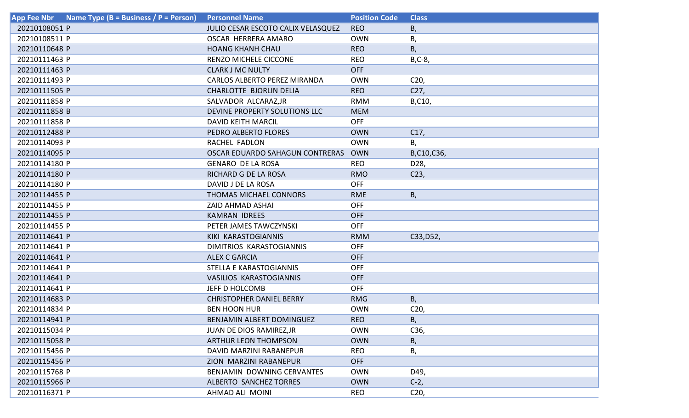| Name Type (B = Business / P = Person)<br><b>App Fee Nbr</b> | <b>Personnel Name</b>                  | <b>Position Code</b> | <b>Class</b>    |
|-------------------------------------------------------------|----------------------------------------|----------------------|-----------------|
| 20210108051 P                                               | JULIO CESAR ESCOTO CALIX VELASQUEZ     | <b>REO</b>           | Β,              |
| 20210108511 P                                               | <b>OSCAR HERRERA AMARO</b>             | <b>OWN</b>           | Β,              |
| 20210110648 P                                               | <b>HOANG KHANH CHAU</b>                | <b>REO</b>           | В,              |
| 20210111463 P                                               | <b>RENZO MICHELE CICCONE</b>           | <b>REO</b>           | $B, C-8$        |
| 20210111463 P                                               | <b>CLARK J MC NULTY</b>                | <b>OFF</b>           |                 |
| 20210111493 P                                               | <b>CARLOS ALBERTO PEREZ MIRANDA</b>    | <b>OWN</b>           | C <sub>20</sub> |
| 20210111505 P                                               | CHARLOTTE BJORLIN DELIA                | <b>REO</b>           | C27,            |
| 20210111858 P                                               | SALVADOR ALCARAZ, JR                   | <b>RMM</b>           | B,C10,          |
| 20210111858 B                                               | DEVINE PROPERTY SOLUTIONS LLC          | <b>MEM</b>           |                 |
| 20210111858 P                                               | <b>DAVID KEITH MARCIL</b>              | <b>OFF</b>           |                 |
| 20210112488 P                                               | PEDRO ALBERTO FLORES                   | <b>OWN</b>           | C17,            |
| 20210114093 P                                               | RACHEL FADLON                          | <b>OWN</b>           | В,              |
| 20210114095 P                                               | <b>OSCAR EDUARDO SAHAGUN CONTRERAS</b> | <b>OWN</b>           | B,C10,C36,      |
| 20210114180 P                                               | <b>GENARO DE LA ROSA</b>               | <b>REO</b>           | D28,            |
| 20210114180 P                                               | RICHARD G DE LA ROSA                   | <b>RMO</b>           | C <sub>23</sub> |
| 20210114180 P                                               | DAVID J DE LA ROSA                     | <b>OFF</b>           |                 |
| 20210114455 P                                               | <b>THOMAS MICHAEL CONNORS</b>          | <b>RME</b>           | В,              |
| 20210114455 P                                               | <b>ZAID AHMAD ASHAI</b>                | <b>OFF</b>           |                 |
| 20210114455 P                                               | KAMRAN IDREES                          | <b>OFF</b>           |                 |
| 20210114455 P                                               | PETER JAMES TAWCZYNSKI                 | <b>OFF</b>           |                 |
| 20210114641 P                                               | KIKI KARASTOGIANNIS                    | <b>RMM</b>           | C33, D52,       |
| 20210114641 P                                               | DIMITRIOS KARASTOGIANNIS               | <b>OFF</b>           |                 |
| 20210114641 P                                               | <b>ALEX C GARCIA</b>                   | <b>OFF</b>           |                 |
| 20210114641 P                                               | STELLA E KARASTOGIANNIS                | <b>OFF</b>           |                 |
| 20210114641 P                                               | <b>VASILIOS KARASTOGIANNIS</b>         | <b>OFF</b>           |                 |
| 20210114641 P                                               | JEFF D HOLCOMB                         | <b>OFF</b>           |                 |
| 20210114683 P                                               | <b>CHRISTOPHER DANIEL BERRY</b>        | <b>RMG</b>           | B,              |
| 20210114834 P                                               | <b>BEN HOON HUR</b>                    | <b>OWN</b>           | C <sub>20</sub> |
| 20210114941 P                                               | BENJAMIN ALBERT DOMINGUEZ              | <b>REO</b>           | В,              |
| 20210115034 P                                               | JUAN DE DIOS RAMIREZ, JR               | <b>OWN</b>           | C36,            |
| 20210115058 P                                               | <b>ARTHUR LEON THOMPSON</b>            | <b>OWN</b>           | В,              |
| 20210115456 P                                               | DAVID MARZINI RABANEPUR                | <b>REO</b>           | В,              |
| 20210115456 P                                               | ZION MARZINI RABANEPUR                 | <b>OFF</b>           |                 |
| 20210115768 P                                               | BENJAMIN DOWNING CERVANTES             | <b>OWN</b>           | D49,            |
| 20210115966 P                                               | ALBERTO SANCHEZ TORRES                 | <b>OWN</b>           | $C-2,$          |
| 20210116371 P                                               | AHMAD ALI MOINI                        | <b>REO</b>           | C <sub>20</sub> |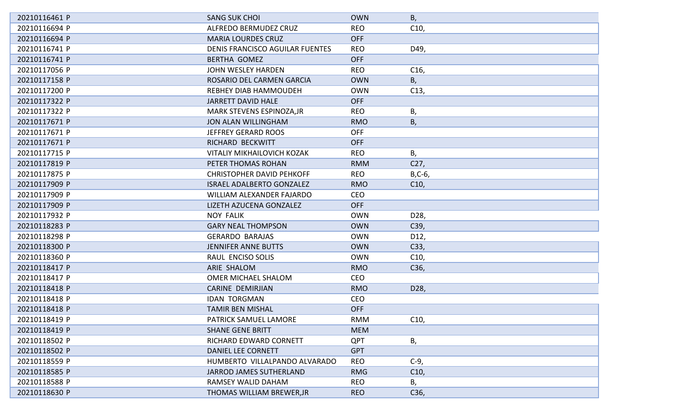| 20210116461 P | <b>SANG SUK CHOI</b>              | <b>OWN</b> | В,              |
|---------------|-----------------------------------|------------|-----------------|
| 20210116694 P | ALFREDO BERMUDEZ CRUZ             | <b>REO</b> | C10,            |
| 20210116694 P | <b>MARIA LOURDES CRUZ</b>         | <b>OFF</b> |                 |
| 20210116741 P | DENIS FRANCISCO AGUILAR FUENTES   | <b>REO</b> | D49,            |
| 20210116741 P | <b>BERTHA GOMEZ</b>               | <b>OFF</b> |                 |
| 20210117056 P | JOHN WESLEY HARDEN                | <b>REO</b> | C <sub>16</sub> |
| 20210117158 P | ROSARIO DEL CARMEN GARCIA         | <b>OWN</b> | В,              |
| 20210117200 P | <b>REBHEY DIAB HAMMOUDEH</b>      | <b>OWN</b> | C13,            |
| 20210117322 P | <b>JARRETT DAVID HALE</b>         | <b>OFF</b> |                 |
| 20210117322 P | MARK STEVENS ESPINOZA, JR         | <b>REO</b> | В,              |
| 20210117671 P | <b>JON ALAN WILLINGHAM</b>        | <b>RMO</b> | Β,              |
| 20210117671 P | <b>JEFFREY GERARD ROOS</b>        | <b>OFF</b> |                 |
| 20210117671 P | RICHARD BECKWITT                  | <b>OFF</b> |                 |
| 20210117715 P | <b>VITALIY MIKHAILOVICH KOZAK</b> | <b>REO</b> | В,              |
| 20210117819 P | PETER THOMAS ROHAN                | <b>RMM</b> | C <sub>27</sub> |
| 20210117875 P | <b>CHRISTOPHER DAVID PEHKOFF</b>  | <b>REO</b> | $B, C-6$        |
| 20210117909 P | <b>ISRAEL ADALBERTO GONZALEZ</b>  | <b>RMO</b> | C10,            |
| 20210117909 P | WILLIAM ALEXANDER FAJARDO         | <b>CEO</b> |                 |
| 20210117909 P | LIZETH AZUCENA GONZALEZ           | <b>OFF</b> |                 |
| 20210117932 P | <b>NOY FALIK</b>                  | <b>OWN</b> | D28,            |
| 20210118283 P | <b>GARY NEAL THOMPSON</b>         | <b>OWN</b> | C39,            |
| 20210118298 P | <b>GERARDO BARAJAS</b>            | <b>OWN</b> | D12,            |
| 20210118300 P | <b>JENNIFER ANNE BUTTS</b>        | <b>OWN</b> | C33,            |
| 20210118360 P | RAUL ENCISO SOLIS                 | <b>OWN</b> | C10,            |
| 20210118417 P | ARIE SHALOM                       | <b>RMO</b> | C36,            |
| 20210118417 P | <b>OMER MICHAEL SHALOM</b>        | <b>CEO</b> |                 |
| 20210118418 P | <b>CARINE DEMIRJIAN</b>           | <b>RMO</b> | D28,            |
| 20210118418 P | <b>IDAN TORGMAN</b>               | <b>CEO</b> |                 |
| 20210118418 P | <b>TAMIR BEN MISHAL</b>           | <b>OFF</b> |                 |
| 20210118419 P | PATRICK SAMUEL LAMORE             | RMM        | C <sub>10</sub> |
| 20210118419 P | <b>SHANE GENE BRITT</b>           | <b>MEM</b> |                 |
| 20210118502 P | RICHARD EDWARD CORNETT            | <b>QPT</b> | В,              |
| 20210118502 P | <b>DANIEL LEE CORNETT</b>         | <b>GPT</b> |                 |
| 20210118559 P | HUMBERTO VILLALPANDO ALVARADO     | <b>REO</b> | $C-9$ ,         |
| 20210118585 P | JARROD JAMES SUTHERLAND           | <b>RMG</b> | C10,            |
| 20210118588 P | <b>RAMSEY WALID DAHAM</b>         | <b>REO</b> | Β,              |
| 20210118630 P | THOMAS WILLIAM BREWER, JR         | <b>REO</b> | C36,            |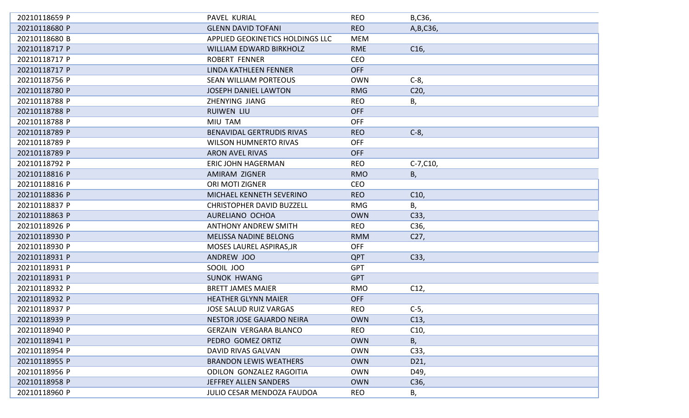| 20210118659 P | PAVEL KURIAL                      | <b>REO</b> | B,C36,          |
|---------------|-----------------------------------|------------|-----------------|
| 20210118680 P | <b>GLENN DAVID TOFANI</b>         | <b>REO</b> | A, B, C36,      |
| 20210118680 B | APPLIED GEOKINETICS HOLDINGS LLC  | <b>MEM</b> |                 |
| 20210118717 P | <b>WILLIAM EDWARD BIRKHOLZ</b>    | <b>RME</b> | C <sub>16</sub> |
| 20210118717 P | <b>ROBERT FENNER</b>              | <b>CEO</b> |                 |
| 20210118717 P | LINDA KATHLEEN FENNER             | <b>OFF</b> |                 |
| 20210118756 P | <b>SEAN WILLIAM PORTEOUS</b>      | <b>OWN</b> | $C-8$           |
| 20210118780 P | <b>JOSEPH DANIEL LAWTON</b>       | <b>RMG</b> | C <sub>20</sub> |
| 20210118788 P | ZHENYING JIANG                    | <b>REO</b> | В,              |
| 20210118788 P | <b>RUIWEN LIU</b>                 | <b>OFF</b> |                 |
| 20210118788 P | MIU TAM                           | <b>OFF</b> |                 |
| 20210118789 P | <b>BENAVIDAL GERTRUDIS RIVAS</b>  | <b>REO</b> | $C-8,$          |
| 20210118789 P | <b>WILSON HUMNERTO RIVAS</b>      | <b>OFF</b> |                 |
| 20210118789 P | <b>ARON AVEL RIVAS</b>            | <b>OFF</b> |                 |
| 20210118792 P | <b>ERIC JOHN HAGERMAN</b>         | <b>REO</b> | $C-7, C10,$     |
| 20210118816 P | AMIRAM ZIGNER                     | <b>RMO</b> | В,              |
| 20210118816 P | ORI MOTI ZIGNER                   | <b>CEO</b> |                 |
| 20210118836 P | MICHAEL KENNETH SEVERINO          | <b>REO</b> | C10,            |
| 20210118837 P | <b>CHRISTOPHER DAVID BUZZELL</b>  | <b>RMG</b> | В,              |
| 20210118863 P | AURELIANO OCHOA                   | <b>OWN</b> | C33,            |
| 20210118926 P | <b>ANTHONY ANDREW SMITH</b>       | <b>REO</b> | C36,            |
| 20210118930 P | <b>MELISSA NADINE BELONG</b>      | <b>RMM</b> | C <sub>27</sub> |
| 20210118930 P | MOSES LAUREL ASPIRAS, JR          | <b>OFF</b> |                 |
| 20210118931 P | ANDREW JOO                        | <b>QPT</b> | C33,            |
| 20210118931 P | SOOIL JOO                         | <b>GPT</b> |                 |
| 20210118931 P | <b>SUNOK HWANG</b>                | <b>GPT</b> |                 |
| 20210118932 P | <b>BRETT JAMES MAIER</b>          | <b>RMO</b> | C12,            |
| 20210118932 P | <b>HEATHER GLYNN MAIER</b>        | <b>OFF</b> |                 |
| 20210118937 P | <b>JOSE SALUD RUIZ VARGAS</b>     | <b>REO</b> | $C-5$           |
| 20210118939 P | NESTOR JOSE GAJARDO NEIRA         | <b>OWN</b> | C13,            |
| 20210118940 P | <b>GERZAIN VERGARA BLANCO</b>     | <b>REO</b> | C10,            |
| 20210118941 P | PEDRO GOMEZ ORTIZ                 | <b>OWN</b> | В,              |
| 20210118954 P | <b>DAVID RIVAS GALVAN</b>         | <b>OWN</b> | C33,            |
| 20210118955 P | <b>BRANDON LEWIS WEATHERS</b>     | <b>OWN</b> | D21,            |
| 20210118956 P | ODILON GONZALEZ RAGOITIA          | <b>OWN</b> | D49,            |
| 20210118958 P | JEFFREY ALLEN SANDERS             | <b>OWN</b> | C36,            |
| 20210118960 P | <b>JULIO CESAR MENDOZA FAUDOA</b> | <b>REO</b> | В,              |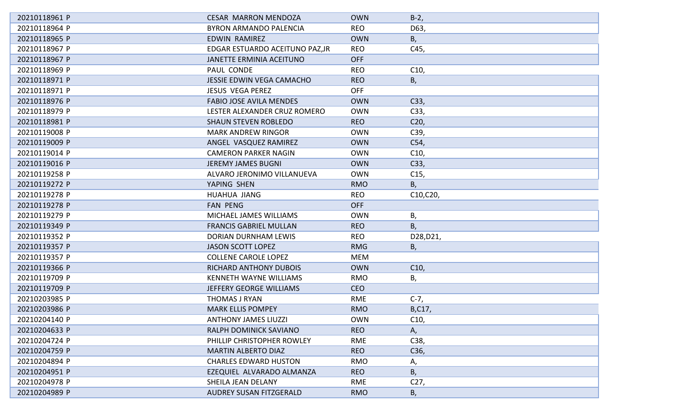| 20210118961 P | <b>CESAR MARRON MENDOZA</b>     | <b>OWN</b> | $B-2,$          |
|---------------|---------------------------------|------------|-----------------|
| 20210118964 P | <b>BYRON ARMANDO PALENCIA</b>   | <b>REO</b> | D63,            |
| 20210118965 P | <b>EDWIN RAMIREZ</b>            | <b>OWN</b> | B,              |
| 20210118967 P | EDGAR ESTUARDO ACEITUNO PAZ, JR | <b>REO</b> | C45,            |
| 20210118967 P | JANETTE ERMINIA ACEITUNO        | <b>OFF</b> |                 |
| 20210118969 P | PAUL CONDE                      | <b>REO</b> | C10,            |
| 20210118971 P | JESSIE EDWIN VEGA CAMACHO       | <b>REO</b> | В,              |
| 20210118971 P | <b>JESUS VEGA PEREZ</b>         | <b>OFF</b> |                 |
| 20210118976 P | <b>FABIO JOSE AVILA MENDES</b>  | <b>OWN</b> | C33,            |
| 20210118979 P | LESTER ALEXANDER CRUZ ROMERO    | <b>OWN</b> | C33,            |
| 20210118981 P | <b>SHAUN STEVEN ROBLEDO</b>     | <b>REO</b> | C <sub>20</sub> |
| 20210119008 P | <b>MARK ANDREW RINGOR</b>       | <b>OWN</b> | C39,            |
| 20210119009 P | ANGEL VASQUEZ RAMIREZ           | <b>OWN</b> | C54,            |
| 20210119014 P | <b>CAMERON PARKER NAGIN</b>     | <b>OWN</b> | C10,            |
| 20210119016 P | <b>JEREMY JAMES BUGNI</b>       | <b>OWN</b> | C33,            |
| 20210119258 P | ALVARO JERONIMO VILLANUEVA      | <b>OWN</b> | C15,            |
| 20210119272 P | YAPING SHEN                     | <b>RMO</b> | B,              |
| 20210119278 P | HUAHUA JIANG                    | <b>REO</b> | C10,C20,        |
| 20210119278 P | <b>FAN PENG</b>                 | <b>OFF</b> |                 |
| 20210119279 P | MICHAEL JAMES WILLIAMS          | <b>OWN</b> | Β,              |
| 20210119349 P | <b>FRANCIS GABRIEL MULLAN</b>   | <b>REO</b> | Β,              |
| 20210119352 P | DORIAN DURNHAM LEWIS            | <b>REO</b> | D28, D21,       |
| 20210119357 P | <b>JASON SCOTT LOPEZ</b>        | <b>RMG</b> | Β,              |
| 20210119357 P | <b>COLLENE CAROLE LOPEZ</b>     | MEM        |                 |
| 20210119366 P | RICHARD ANTHONY DUBOIS          | <b>OWN</b> | C10,            |
| 20210119709 P | <b>KENNETH WAYNE WILLIAMS</b>   | <b>RMO</b> | В,              |
| 20210119709 P | JEFFERY GEORGE WILLIAMS         | <b>CEO</b> |                 |
| 20210203985 P | THOMAS J RYAN                   | <b>RME</b> | $C-7,$          |
| 20210203986 P | <b>MARK ELLIS POMPEY</b>        | <b>RMO</b> | B,C17,          |
| 20210204140 P | <b>ANTHONY JAMES LIUZZI</b>     | <b>OWN</b> | C10,            |
| 20210204633 P | RALPH DOMINICK SAVIANO          | <b>REO</b> | А,              |
| 20210204724 P | PHILLIP CHRISTOPHER ROWLEY      | <b>RME</b> | C38,            |
| 20210204759 P | <b>MARTIN ALBERTO DIAZ</b>      | <b>REO</b> | C36,            |
| 20210204894 P | <b>CHARLES EDWARD HUSTON</b>    | <b>RMO</b> | Α,              |
| 20210204951 P | EZEQUIEL ALVARADO ALMANZA       | <b>REO</b> | Β,              |
| 20210204978 P | SHEILA JEAN DELANY              | RME        | C <sub>27</sub> |
| 20210204989 P | AUDREY SUSAN FITZGERALD         | <b>RMO</b> | Β,              |